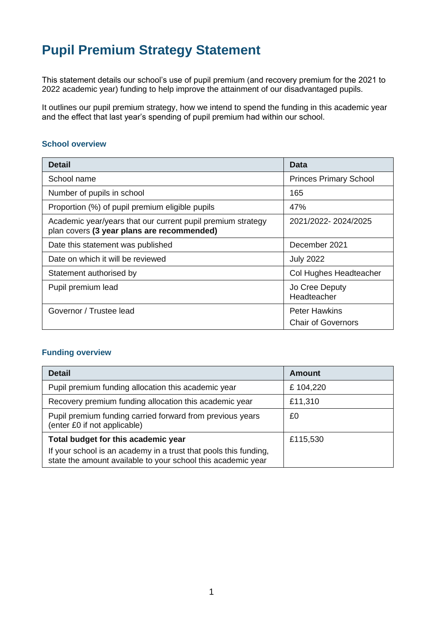# **Pupil Premium Strategy Statement**

This statement details our school's use of pupil premium (and recovery premium for the 2021 to 2022 academic year) funding to help improve the attainment of our disadvantaged pupils.

It outlines our pupil premium strategy, how we intend to spend the funding in this academic year and the effect that last year's spending of pupil premium had within our school.

#### **School overview**

| <b>Detail</b>                                                                                             | Data                                              |
|-----------------------------------------------------------------------------------------------------------|---------------------------------------------------|
| School name                                                                                               | <b>Princes Primary School</b>                     |
| Number of pupils in school                                                                                | 165                                               |
| Proportion (%) of pupil premium eligible pupils                                                           | 47%                                               |
| Academic year/years that our current pupil premium strategy<br>plan covers (3 year plans are recommended) | 2021/2022-2024/2025                               |
| Date this statement was published                                                                         | December 2021                                     |
| Date on which it will be reviewed                                                                         | <b>July 2022</b>                                  |
| Statement authorised by                                                                                   | Col Hughes Headteacher                            |
| Pupil premium lead                                                                                        | Jo Cree Deputy<br>Headteacher                     |
| Governor / Trustee lead                                                                                   | <b>Peter Hawkins</b><br><b>Chair of Governors</b> |

#### **Funding overview**

| <b>Detail</b>                                                                                                                    | Amount   |
|----------------------------------------------------------------------------------------------------------------------------------|----------|
| Pupil premium funding allocation this academic year                                                                              | £104,220 |
| Recovery premium funding allocation this academic year                                                                           | £11,310  |
| Pupil premium funding carried forward from previous years<br>(enter £0 if not applicable)                                        | £0       |
| Total budget for this academic year                                                                                              | £115,530 |
| If your school is an academy in a trust that pools this funding,<br>state the amount available to your school this academic year |          |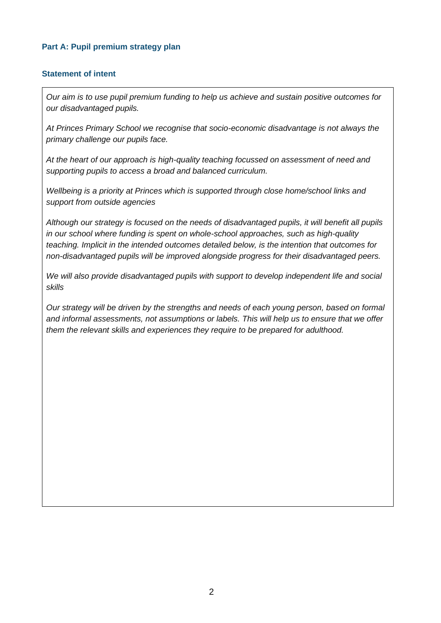#### **Part A: Pupil premium strategy plan**

#### **Statement of intent**

*Our aim is to use pupil premium funding to help us achieve and sustain positive outcomes for our disadvantaged pupils.* 

*At Princes Primary School we recognise that socio-economic disadvantage is not always the primary challenge our pupils face.* 

*At the heart of our approach is high-quality teaching focussed on assessment of need and supporting pupils to access a broad and balanced curriculum.* 

*Wellbeing is a priority at Princes which is supported through close home/school links and support from outside agencies*

*Although our strategy is focused on the needs of disadvantaged pupils, it will benefit all pupils in our school where funding is spent on whole-school approaches, such as high-quality teaching. Implicit in the intended outcomes detailed below, is the intention that outcomes for non-disadvantaged pupils will be improved alongside progress for their disadvantaged peers.* 

*We will also provide disadvantaged pupils with support to develop independent life and social skills* 

*Our strategy will be driven by the strengths and needs of each young person, based on formal and informal assessments, not assumptions or labels. This will help us to ensure that we offer them the relevant skills and experiences they require to be prepared for adulthood.*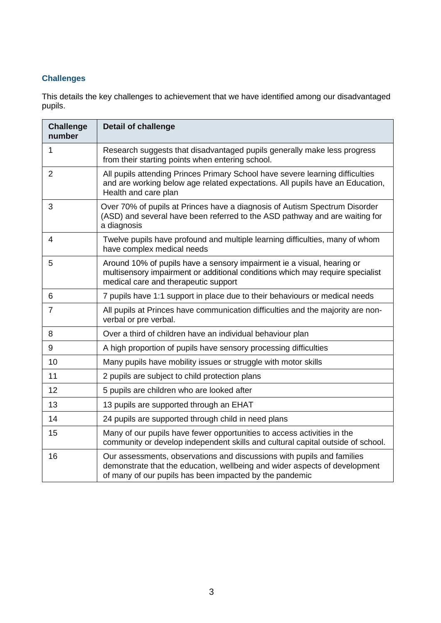## **Challenges**

This details the key challenges to achievement that we have identified among our disadvantaged pupils.

| <b>Challenge</b><br>number | <b>Detail of challenge</b>                                                                                                                                                                                      |
|----------------------------|-----------------------------------------------------------------------------------------------------------------------------------------------------------------------------------------------------------------|
| 1                          | Research suggests that disadvantaged pupils generally make less progress<br>from their starting points when entering school.                                                                                    |
| $\overline{2}$             | All pupils attending Princes Primary School have severe learning difficulties<br>and are working below age related expectations. All pupils have an Education,<br>Health and care plan                          |
| 3                          | Over 70% of pupils at Princes have a diagnosis of Autism Spectrum Disorder<br>(ASD) and several have been referred to the ASD pathway and are waiting for<br>a diagnosis                                        |
| 4                          | Twelve pupils have profound and multiple learning difficulties, many of whom<br>have complex medical needs                                                                                                      |
| 5                          | Around 10% of pupils have a sensory impairment ie a visual, hearing or<br>multisensory impairment or additional conditions which may require specialist<br>medical care and therapeutic support                 |
| 6                          | 7 pupils have 1:1 support in place due to their behaviours or medical needs                                                                                                                                     |
| $\overline{7}$             | All pupils at Princes have communication difficulties and the majority are non-<br>verbal or pre verbal.                                                                                                        |
| 8                          | Over a third of children have an individual behaviour plan                                                                                                                                                      |
| 9                          | A high proportion of pupils have sensory processing difficulties                                                                                                                                                |
| 10                         | Many pupils have mobility issues or struggle with motor skills                                                                                                                                                  |
| 11                         | 2 pupils are subject to child protection plans                                                                                                                                                                  |
| 12                         | 5 pupils are children who are looked after                                                                                                                                                                      |
| 13                         | 13 pupils are supported through an EHAT                                                                                                                                                                         |
| 14                         | 24 pupils are supported through child in need plans                                                                                                                                                             |
| 15                         | Many of our pupils have fewer opportunities to access activities in the<br>community or develop independent skills and cultural capital outside of school.                                                      |
| 16                         | Our assessments, observations and discussions with pupils and families<br>demonstrate that the education, wellbeing and wider aspects of development<br>of many of our pupils has been impacted by the pandemic |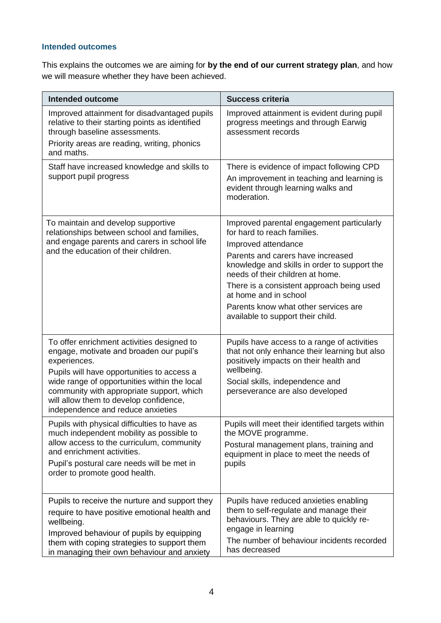### **Intended outcomes**

This explains the outcomes we are aiming for **by the end of our current strategy plan**, and how we will measure whether they have been achieved.

| <b>Intended outcome</b>                                                                                                                                                                                                                                                                                                          | <b>Success criteria</b>                                                                                                                                                                                                                                                                                                                                                     |
|----------------------------------------------------------------------------------------------------------------------------------------------------------------------------------------------------------------------------------------------------------------------------------------------------------------------------------|-----------------------------------------------------------------------------------------------------------------------------------------------------------------------------------------------------------------------------------------------------------------------------------------------------------------------------------------------------------------------------|
| Improved attainment for disadvantaged pupils<br>relative to their starting points as identified<br>through baseline assessments.<br>Priority areas are reading, writing, phonics<br>and maths.                                                                                                                                   | Improved attainment is evident during pupil<br>progress meetings and through Earwig<br>assessment records                                                                                                                                                                                                                                                                   |
| Staff have increased knowledge and skills to<br>support pupil progress                                                                                                                                                                                                                                                           | There is evidence of impact following CPD<br>An improvement in teaching and learning is<br>evident through learning walks and<br>moderation.                                                                                                                                                                                                                                |
| To maintain and develop supportive<br>relationships between school and families,<br>and engage parents and carers in school life<br>and the education of their children.                                                                                                                                                         | Improved parental engagement particularly<br>for hard to reach families.<br>Improved attendance<br>Parents and carers have increased<br>knowledge and skills in order to support the<br>needs of their children at home.<br>There is a consistent approach being used<br>at home and in school<br>Parents know what other services are<br>available to support their child. |
| To offer enrichment activities designed to<br>engage, motivate and broaden our pupil's<br>experiences.<br>Pupils will have opportunities to access a<br>wide range of opportunities within the local<br>community with appropriate support, which<br>will allow them to develop confidence,<br>independence and reduce anxieties | Pupils have access to a range of activities<br>that not only enhance their learning but also<br>positively impacts on their health and<br>wellbeing.<br>Social skills, independence and<br>perseverance are also developed                                                                                                                                                  |
| Pupils with physical difficulties to have as<br>much independent mobility as possible to<br>allow access to the curriculum, community<br>and enrichment activities.<br>Pupil's postural care needs will be met in<br>order to promote good health.                                                                               | Pupils will meet their identified targets within<br>the MOVE programme.<br>Postural management plans, training and<br>equipment in place to meet the needs of<br>pupils                                                                                                                                                                                                     |
| Pupils to receive the nurture and support they<br>require to have positive emotional health and<br>wellbeing.<br>Improved behaviour of pupils by equipping<br>them with coping strategies to support them<br>in managing their own behaviour and anxiety                                                                         | Pupils have reduced anxieties enabling<br>them to self-regulate and manage their<br>behaviours. They are able to quickly re-<br>engage in learning<br>The number of behaviour incidents recorded<br>has decreased                                                                                                                                                           |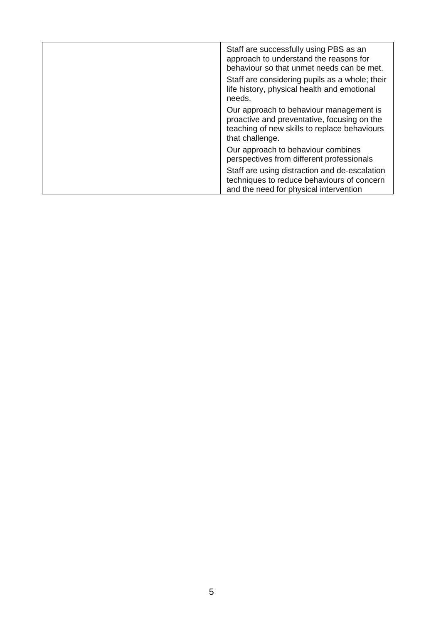| Staff are successfully using PBS as an<br>approach to understand the reasons for<br>behaviour so that unmet needs can be met.                             |
|-----------------------------------------------------------------------------------------------------------------------------------------------------------|
| Staff are considering pupils as a whole; their<br>life history, physical health and emotional<br>needs.                                                   |
| Our approach to behaviour management is<br>proactive and preventative, focusing on the<br>teaching of new skills to replace behaviours<br>that challenge. |
| Our approach to behaviour combines<br>perspectives from different professionals                                                                           |
| Staff are using distraction and de-escalation<br>techniques to reduce behaviours of concern<br>and the need for physical intervention                     |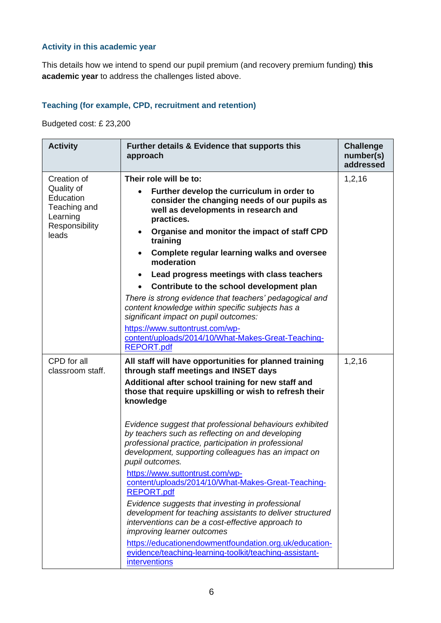## **Activity in this academic year**

This details how we intend to spend our pupil premium (and recovery premium funding) **this academic year** to address the challenges listed above.

## **Teaching (for example, CPD, recruitment and retention)**

Budgeted cost: £ 23,200

| <b>Activity</b>                                                                               | Further details & Evidence that supports this<br>approach                                                                                                                                                                                                                                                                                                                                                                                                                                                                                                                                                                                                                                                                                                                                                                                                                                                                                   | <b>Challenge</b><br>number(s)<br>addressed |
|-----------------------------------------------------------------------------------------------|---------------------------------------------------------------------------------------------------------------------------------------------------------------------------------------------------------------------------------------------------------------------------------------------------------------------------------------------------------------------------------------------------------------------------------------------------------------------------------------------------------------------------------------------------------------------------------------------------------------------------------------------------------------------------------------------------------------------------------------------------------------------------------------------------------------------------------------------------------------------------------------------------------------------------------------------|--------------------------------------------|
| Creation of<br>Quality of<br>Education<br>Teaching and<br>Learning<br>Responsibility<br>leads | Their role will be to:<br>Further develop the curriculum in order to<br>consider the changing needs of our pupils as<br>well as developments in research and<br>practices.<br>Organise and monitor the impact of staff CPD<br>training<br><b>Complete regular learning walks and oversee</b><br>moderation<br>Lead progress meetings with class teachers<br>$\bullet$<br>Contribute to the school development plan<br>There is strong evidence that teachers' pedagogical and<br>content knowledge within specific subjects has a                                                                                                                                                                                                                                                                                                                                                                                                           | 1,2,16                                     |
|                                                                                               | significant impact on pupil outcomes:<br>https://www.suttontrust.com/wp-<br>content/uploads/2014/10/What-Makes-Great-Teaching-<br><b>REPORT.pdf</b>                                                                                                                                                                                                                                                                                                                                                                                                                                                                                                                                                                                                                                                                                                                                                                                         |                                            |
| CPD for all<br>classroom staff.                                                               | All staff will have opportunities for planned training<br>through staff meetings and INSET days<br>Additional after school training for new staff and<br>those that require upskilling or wish to refresh their<br>knowledge<br>Evidence suggest that professional behaviours exhibited<br>by teachers such as reflecting on and developing<br>professional practice, participation in professional<br>development, supporting colleagues has an impact on<br>pupil outcomes.<br>https://www.suttontrust.com/wp-<br>content/uploads/2014/10/What-Makes-Great-Teaching-<br><b>REPORT.pdf</b><br>Evidence suggests that investing in professional<br>development for teaching assistants to deliver structured<br>interventions can be a cost-effective approach to<br>improving learner outcomes<br>https://educationendowmentfoundation.org.uk/education-<br>evidence/teaching-learning-toolkit/teaching-assistant-<br><i>interventions</i> | 1, 2, 16                                   |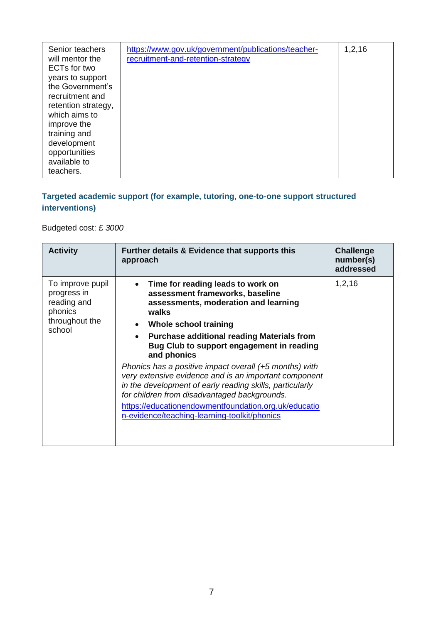| Senior teachers<br>will mentor the<br>ECTs for two<br>years to support<br>the Government's<br>recruitment and<br>retention strategy,<br>which aims to<br>improve the<br>training and<br>development<br>opportunities | https://www.gov.uk/government/publications/teacher-<br>recruitment-and-retention-strategy | 1, 2, 16 |
|----------------------------------------------------------------------------------------------------------------------------------------------------------------------------------------------------------------------|-------------------------------------------------------------------------------------------|----------|
| available to<br>teachers.                                                                                                                                                                                            |                                                                                           |          |

## **Targeted academic support (for example, tutoring, one-to-one support structured interventions)**

Budgeted cost: £ *3000*

| <b>Activity</b>                                                                       | Further details & Evidence that supports this<br>approach                                                                                                                                                                                                                                                                                                                                                                                                                                                                                                                                                           | <b>Challenge</b><br>number(s)<br>addressed |
|---------------------------------------------------------------------------------------|---------------------------------------------------------------------------------------------------------------------------------------------------------------------------------------------------------------------------------------------------------------------------------------------------------------------------------------------------------------------------------------------------------------------------------------------------------------------------------------------------------------------------------------------------------------------------------------------------------------------|--------------------------------------------|
| To improve pupil<br>progress in<br>reading and<br>phonics<br>throughout the<br>school | Time for reading leads to work on<br>assessment frameworks, baseline<br>assessments, moderation and learning<br>walks<br>Whole school training<br><b>Purchase additional reading Materials from</b><br>$\bullet$<br>Bug Club to support engagement in reading<br>and phonics<br>Phonics has a positive impact overall (+5 months) with<br>very extensive evidence and is an important component<br>in the development of early reading skills, particularly<br>for children from disadvantaged backgrounds.<br>https://educationendowmentfoundation.org.uk/educatio<br>n-evidence/teaching-learning-toolkit/phonics | 1, 2, 16                                   |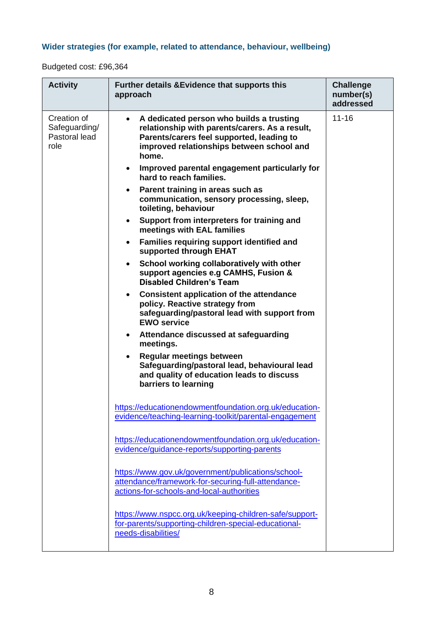## **Wider strategies (for example, related to attendance, behaviour, wellbeing)**

Budgeted cost: £96,364

| <b>Activity</b>                                       | <b>Further details &amp; Evidence that supports this</b><br>approach                                                                                                                                                                                                                                                                                                                                                                                                                                                                                                                                                                                                                                                                                                                                                                                                                                                                                                                                                                                                                                                                                                                                                                                        | <b>Challenge</b><br>number(s)<br>addressed |
|-------------------------------------------------------|-------------------------------------------------------------------------------------------------------------------------------------------------------------------------------------------------------------------------------------------------------------------------------------------------------------------------------------------------------------------------------------------------------------------------------------------------------------------------------------------------------------------------------------------------------------------------------------------------------------------------------------------------------------------------------------------------------------------------------------------------------------------------------------------------------------------------------------------------------------------------------------------------------------------------------------------------------------------------------------------------------------------------------------------------------------------------------------------------------------------------------------------------------------------------------------------------------------------------------------------------------------|--------------------------------------------|
| Creation of<br>Safeguarding/<br>Pastoral lead<br>role | A dedicated person who builds a trusting<br>$\bullet$<br>relationship with parents/carers. As a result,<br>Parents/carers feel supported, leading to<br>improved relationships between school and<br>home.<br>Improved parental engagement particularly for<br>$\bullet$<br>hard to reach families.<br>Parent training in areas such as<br>communication, sensory processing, sleep,<br>toileting, behaviour<br>Support from interpreters for training and<br>$\bullet$<br>meetings with EAL families<br><b>Families requiring support identified and</b><br>$\bullet$<br>supported through EHAT<br>School working collaboratively with other<br>$\bullet$<br>support agencies e.g CAMHS, Fusion &<br><b>Disabled Children's Team</b><br><b>Consistent application of the attendance</b><br>$\bullet$<br>policy. Reactive strategy from<br>safeguarding/pastoral lead with support from<br><b>EWO service</b><br>Attendance discussed at safeguarding<br>$\bullet$<br>meetings.<br><b>Regular meetings between</b><br>Safeguarding/pastoral lead, behavioural lead<br>and quality of education leads to discuss<br>barriers to learning<br>https://educationendowmentfoundation.org.uk/education-<br>evidence/teaching-learning-toolkit/parental-engagement | $11 - 16$                                  |
|                                                       | https://educationendowmentfoundation.org.uk/education-<br>evidence/guidance-reports/supporting-parents<br>https://www.gov.uk/government/publications/school-<br>attendance/framework-for-securing-full-attendance-<br>actions-for-schools-and-local-authorities<br>https://www.nspcc.org.uk/keeping-children-safe/support-<br>for-parents/supporting-children-special-educational-                                                                                                                                                                                                                                                                                                                                                                                                                                                                                                                                                                                                                                                                                                                                                                                                                                                                          |                                            |
|                                                       | needs-disabilities/                                                                                                                                                                                                                                                                                                                                                                                                                                                                                                                                                                                                                                                                                                                                                                                                                                                                                                                                                                                                                                                                                                                                                                                                                                         |                                            |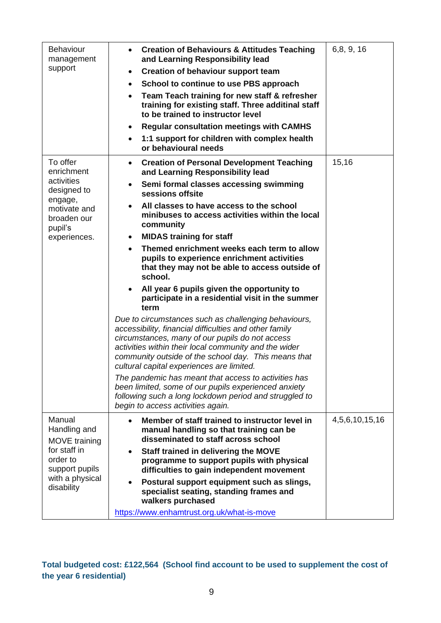| <b>Behaviour</b><br>management<br>support                                                                              | <b>Creation of Behaviours &amp; Attitudes Teaching</b><br>$\bullet$<br>and Learning Responsibility lead<br><b>Creation of behaviour support team</b><br>$\bullet$<br>School to continue to use PBS approach<br>$\bullet$<br>Team Teach training for new staff & refresher<br>$\bullet$<br>training for existing staff. Three additinal staff<br>to be trained to instructor level<br><b>Regular consultation meetings with CAMHS</b><br>$\bullet$<br>1:1 support for children with complex health<br>$\bullet$<br>or behavioural needs        | 6,8, 9, 16     |
|------------------------------------------------------------------------------------------------------------------------|-----------------------------------------------------------------------------------------------------------------------------------------------------------------------------------------------------------------------------------------------------------------------------------------------------------------------------------------------------------------------------------------------------------------------------------------------------------------------------------------------------------------------------------------------|----------------|
| To offer<br>enrichment<br>activities<br>designed to<br>engage,<br>motivate and<br>broaden our<br>pupil's               | <b>Creation of Personal Development Teaching</b><br>$\bullet$<br>and Learning Responsibility lead<br>Semi formal classes accessing swimming<br>$\bullet$<br>sessions offsite<br>All classes to have access to the school<br>minibuses to access activities within the local<br>community                                                                                                                                                                                                                                                      | 15,16          |
| experiences.                                                                                                           | <b>MIDAS</b> training for staff<br>$\bullet$<br>Themed enrichment weeks each term to allow<br>pupils to experience enrichment activities<br>that they may not be able to access outside of<br>school.<br>All year 6 pupils given the opportunity to<br>participate in a residential visit in the summer<br>term<br>Due to circumstances such as challenging behaviours,<br>accessibility, financial difficulties and other family<br>circumstances, many of our pupils do not access<br>activities within their local community and the wider |                |
|                                                                                                                        | community outside of the school day. This means that<br>cultural capital experiences are limited.<br>The pandemic has meant that access to activities has<br>been limited, some of our pupils experienced anxiety<br>following such a long lockdown period and struggled to<br>begin to access activities again.                                                                                                                                                                                                                              |                |
| Manual<br>Handling and<br>MOVE training<br>for staff in<br>order to<br>support pupils<br>with a physical<br>disability | Member of staff trained to instructor level in<br>manual handling so that training can be<br>disseminated to staff across school<br>Staff trained in delivering the MOVE<br>programme to support pupils with physical<br>difficulties to gain independent movement<br>Postural support equipment such as slings,<br>specialist seating, standing frames and<br>walkers purchased<br>https://www.enhamtrust.org.uk/what-is-move                                                                                                                | 4,5,6,10,15,16 |
|                                                                                                                        |                                                                                                                                                                                                                                                                                                                                                                                                                                                                                                                                               |                |

**Total budgeted cost: £122,564 (School find account to be used to supplement the cost of the year 6 residential)**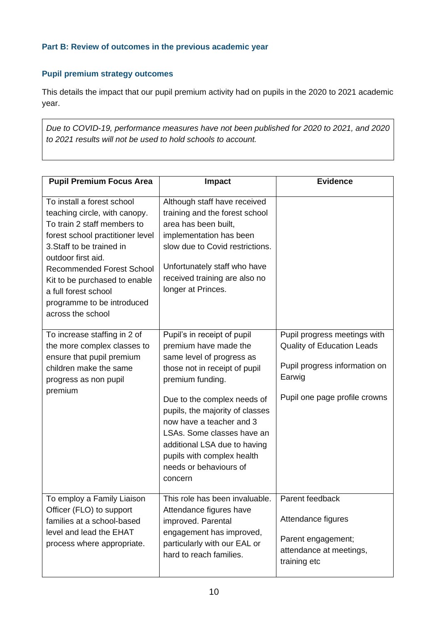### **Part B: Review of outcomes in the previous academic year**

## **Pupil premium strategy outcomes**

This details the impact that our pupil premium activity had on pupils in the 2020 to 2021 academic year.

*Due to COVID-19, performance measures have not been published for 2020 to 2021, and 2020 to 2021 results will not be used to hold schools to account.*

| <b>Pupil Premium Focus Area</b>                                                                                                                                                                                                                                                                                                   | Impact                                                                                                                                                                                                                                                                                                                                                                | <b>Evidence</b>                                                                                                                               |
|-----------------------------------------------------------------------------------------------------------------------------------------------------------------------------------------------------------------------------------------------------------------------------------------------------------------------------------|-----------------------------------------------------------------------------------------------------------------------------------------------------------------------------------------------------------------------------------------------------------------------------------------------------------------------------------------------------------------------|-----------------------------------------------------------------------------------------------------------------------------------------------|
| To install a forest school<br>teaching circle, with canopy.<br>To train 2 staff members to<br>forest school practitioner level<br>3. Staff to be trained in<br>outdoor first aid.<br><b>Recommended Forest School</b><br>Kit to be purchased to enable<br>a full forest school<br>programme to be introduced<br>across the school | Although staff have received<br>training and the forest school<br>area has been built,<br>implementation has been<br>slow due to Covid restrictions.<br>Unfortunately staff who have<br>received training are also no<br>longer at Princes.                                                                                                                           |                                                                                                                                               |
| To increase staffing in 2 of<br>the more complex classes to<br>ensure that pupil premium<br>children make the same<br>progress as non pupil<br>premium                                                                                                                                                                            | Pupil's in receipt of pupil<br>premium have made the<br>same level of progress as<br>those not in receipt of pupil<br>premium funding.<br>Due to the complex needs of<br>pupils, the majority of classes<br>now have a teacher and 3<br>LSAs. Some classes have an<br>additional LSA due to having<br>pupils with complex health<br>needs or behaviours of<br>concern | Pupil progress meetings with<br><b>Quality of Education Leads</b><br>Pupil progress information on<br>Earwig<br>Pupil one page profile crowns |
| To employ a Family Liaison<br>Officer (FLO) to support<br>families at a school-based<br>level and lead the EHAT<br>process where appropriate.                                                                                                                                                                                     | This role has been invaluable.<br>Attendance figures have<br>improved. Parental<br>engagement has improved,<br>particularly with our EAL or<br>hard to reach families.                                                                                                                                                                                                | Parent feedback<br>Attendance figures<br>Parent engagement;<br>attendance at meetings,<br>training etc                                        |